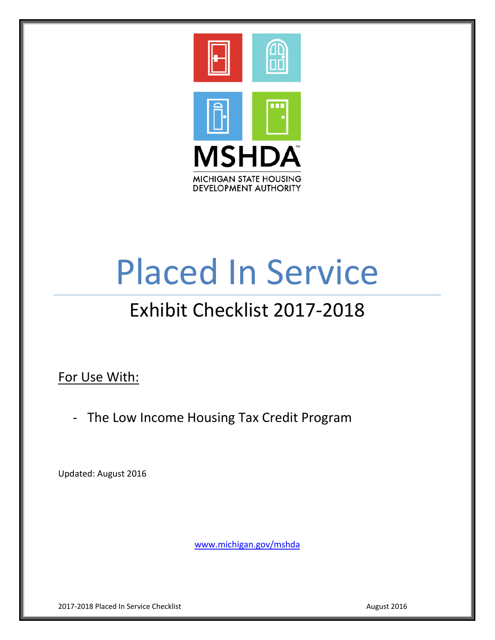

# Placed In Service

# Exhibit Checklist 2017-2018

For Use With:

- The Low Income Housing Tax Credit Program

Updated: August 2016

[www.michigan.gov/mshda](http://www.michigan.gov/mshda)

2017-2018 Placed In Service Checklist August 2016 **August 2016**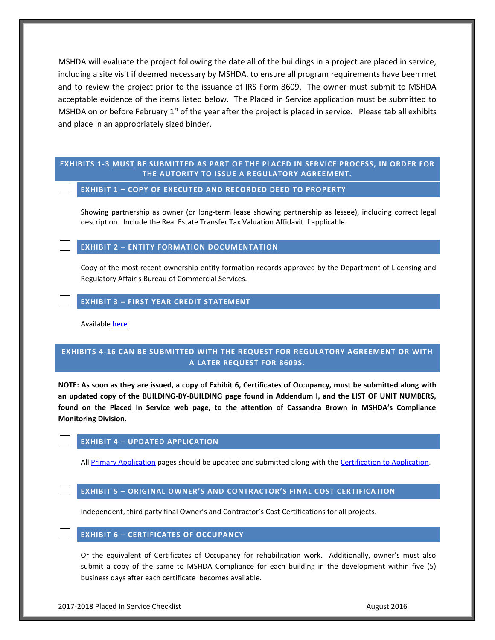MSHDA will evaluate the project following the date all of the buildings in a project are placed in service, including a site visit if deemed necessary by MSHDA, to ensure all program requirements have been met and to review the project prior to the issuance of IRS Form 8609. The owner must submit to MSHDA acceptable evidence of the items listed below. The Placed in Service application must be submitted to MSHDA on or before February  $1<sup>st</sup>$  of the year after the project is placed in service. Please tab all exhibits and place in an appropriately sized binder.

#### **EXHIBITS 1-3 MUST BE SUBMITTED AS PART OF THE PLACED IN SERVICE PROCESS, IN ORDER FOR THE AUTORITY TO ISSUE A REGULATORY AGREEMENT.**

#### **EXHIBIT 1 – COPY OF EXECUTED AND RECORDED DEED TO PROPERTY**

Showing partnership as owner (or long-term lease showing partnership as lessee), including correct legal description. Include the Real Estate Transfer Tax Valuation Affidavit if applicable.

**EXHIBIT 2 – ENTITY FORMATION DOCUMENTATION**

Copy of the most recent ownership entity formation records approved by the Department of Licensing and Regulatory Affair's Bureau of Commercial Services.

#### **EXHIBIT 3 – FIRST YEAR CREDIT STATEMENT**

Available [here.](http://www.michigan.gov/documents/mshda/mshda_crh_f_yer08_first_yr_credit_state_187397_7.pdf)

## **EXHIBITS 4-16 CAN BE SUBMITTED WITH THE REQUEST FOR REGULATORY AGREEMENT OR WITH A LATER REQUEST FOR 8609S.**

**NOTE: As soon as they are issued, a copy of Exhibit 6, Certificates of Occupancy, must be submitted along with an updated copy of the BUILDING-BY-BUILDING page found in Addendum I, and the LIST OF UNIT NUMBERS, found on the Placed In Service web page, to the attention of Cassandra Brown in MSHDA's Compliance Monitoring Division.** 

#### **EXHIBIT 4 – UPDATED APPLICATION**

Al[l Primary Application](http://www.michigan.gov/documents/mshda/mshda_li_ca_02_lihtc_program_app_2017_2018_532265_7.xls) pages should be updated and submitted along with the [Certification to Application.](http://www.michigan.gov/documents/mshda/mshda_li_af_d2_cert_to_app_183942_7.pdf)

#### **EXHIBIT 5 – ORIGINAL OWNER'S AND CONTRACTOR'S FINAL COST CERTIFICATION**

Independent, third party final Owner's and Contractor's Cost Certifications for all projects.

#### **EXHIBIT 6 – CERTIFICATES OF OCCUPANCY**

Or the equivalent of Certificates of Occupancy for rehabilitation work. Additionally, owner's must also submit a copy of the same to MSHDA Compliance for each building in the development within five (5) business days after each certificate becomes available.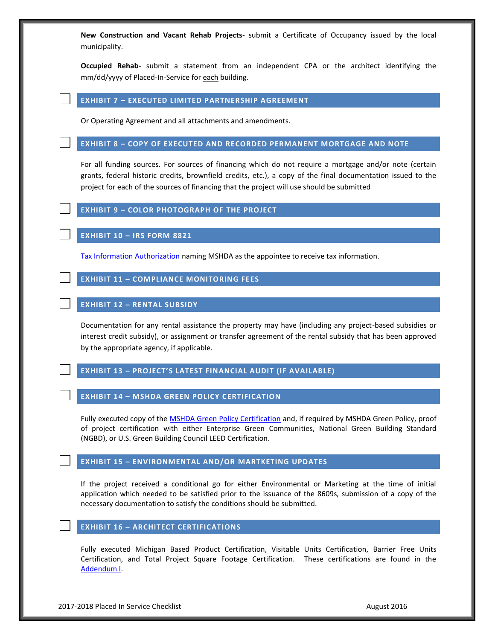**New Construction and Vacant Rehab Projects**- submit a Certificate of Occupancy issued by the local municipality.

**Occupied Rehab**- submit a statement from an independent CPA or the architect identifying the mm/dd/yyyy of Placed-In-Service for each building.

#### **EXHIBIT 7 – EXECUTED LIMITED PARTNERSHIP AGREEMENT**

Or Operating Agreement and all attachments and amendments.

#### **EXHIBIT 8 – COPY OF EXECUTED AND RECORDED PERMANENT MORTGAGE AND NOTE**

For all funding sources. For sources of financing which do not require a mortgage and/or note (certain grants, federal historic credits, brownfield credits, etc.), a copy of the final documentation issued to the project for each of the sources of financing that the project will use should be submitted

### **EXHIBIT 9 – COLOR PHOTOGRAPH OF THE PROJECT**

**EXHIBIT 10 – IRS FORM 8821**

[Tax Information Authorization](http://www.michigan.gov/documents/mshda/mshda_li_af_q_irs_form_8821_204518_7.pdf) naming MSHDA as the appointee to receive tax information.

#### **EXHIBIT 11 – COMPLIANCE MONITORING FEES**

#### **EXHIBIT 12 – RENTAL SUBSIDY**

Documentation for any rental assistance the property may have (including any project-based subsidies or interest credit subsidy), or assignment or transfer agreement of the rental subsidy that has been approved by the appropriate agency, if applicable.

#### **EXHIBIT 13 – PROJECT'S LATEST FINANCIAL AUDIT (IF AVAILABLE)**

#### **EXHIBIT 14 – MSHDA GREEN POLICY CERTIFICATION**

Fully executed copy of the [MSHDA Green Policy Certification](http://www.michigan.gov/documents/mshda/mshda_li_ca_22_tab_m_green_amenities_240580_7.pdf) and, if required by MSHDA Green Policy, proof of project certification with either Enterprise Green Communities, National Green Building Standard (NGBD), or U.S. Green Building Council LEED Certification.

#### **EXHIBIT 15 – ENVIRONMENTAL AND/OR MARTKETING UPDATES**

If the project received a conditional go for either Environmental or Marketing at the time of initial application which needed to be satisfied prior to the issuance of the 8609s, submission of a copy of the necessary documentation to satisfy the conditions should be submitted.

#### **EXHIBIT 16 – ARCHITECT CERTIFICATIONS**

Fully executed Michigan Based Product Certification, Visitable Units Certification, Barrier Free Units Certification, and Total Project Square Footage Certification. These certifications are found in the [Addendum I.](http://www.michigan.gov/documents/mshda/mshda_li_ca_03_addendum_i_183850_7.doc)